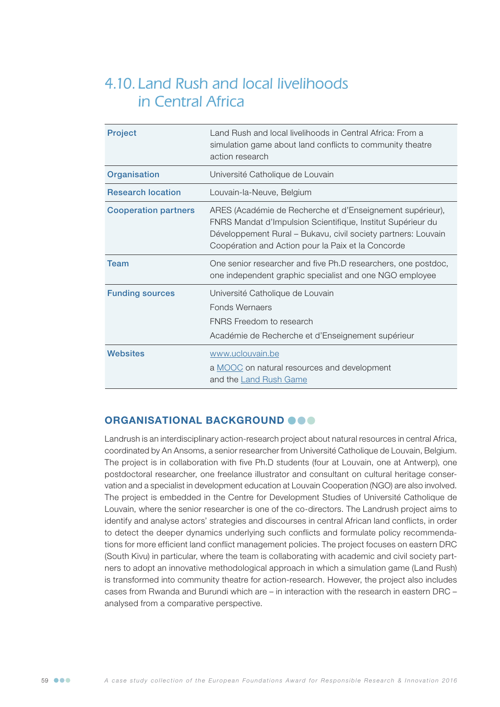# 4.10. Land Rush and local livelihoods in Central Africa

| <b>Project</b>              | Land Rush and local livelihoods in Central Africa: From a<br>simulation game about land conflicts to community theatre<br>action research                                                                                                       |
|-----------------------------|-------------------------------------------------------------------------------------------------------------------------------------------------------------------------------------------------------------------------------------------------|
| Organisation                | Université Catholique de Louvain                                                                                                                                                                                                                |
| <b>Research location</b>    | Louvain-la-Neuve, Belgium                                                                                                                                                                                                                       |
| <b>Cooperation partners</b> | ARES (Académie de Recherche et d'Enseignement supérieur),<br>FNRS Mandat d'Impulsion Scientifique, Institut Supérieur du<br>Développement Rural - Bukavu, civil society partners: Louvain<br>Coopération and Action pour la Paix et la Concorde |
| Team                        | One senior researcher and five Ph.D researchers, one postdoc,<br>one independent graphic specialist and one NGO employee                                                                                                                        |
| <b>Funding sources</b>      | Université Catholique de Louvain<br><b>Fonds Wernaers</b><br>FNRS Freedom to research<br>Académie de Recherche et d'Enseignement supérieur                                                                                                      |
| Websites                    | www.uclouvain.be<br>a MOOC on natural resources and development<br>and the Land Rush Game                                                                                                                                                       |

# ORGANISATIONAL BACKGROUND OOO

Landrush is an interdisciplinary action-research project about natural resources in central Africa, coordinated by An Ansoms, a senior researcher from Université Catholique de Louvain, Belgium. The project is in collaboration with five Ph.D students (four at Louvain, one at Antwerp), one postdoctoral researcher, one freelance illustrator and consultant on cultural heritage conservation and a specialist in development education at Louvain Cooperation (NGO) are also involved. The project is embedded in the Centre for Development Studies of Université Catholique de Louvain, where the senior researcher is one of the co-directors. The Landrush project aims to identify and analyse actors' strategies and discourses in central African land conflicts, in order to detect the deeper dynamics underlying such conflicts and formulate policy recommendations for more efficient land conflict management policies. The project focuses on eastern DRC (South Kivu) in particular, where the team is collaborating with academic and civil society partners to adopt an innovative methodological approach in which a simulation game (Land Rush) is transformed into community theatre for action-research. However, the project also includes cases from Rwanda and Burundi which are – in interaction with the research in eastern DRC – analysed from a comparative perspective.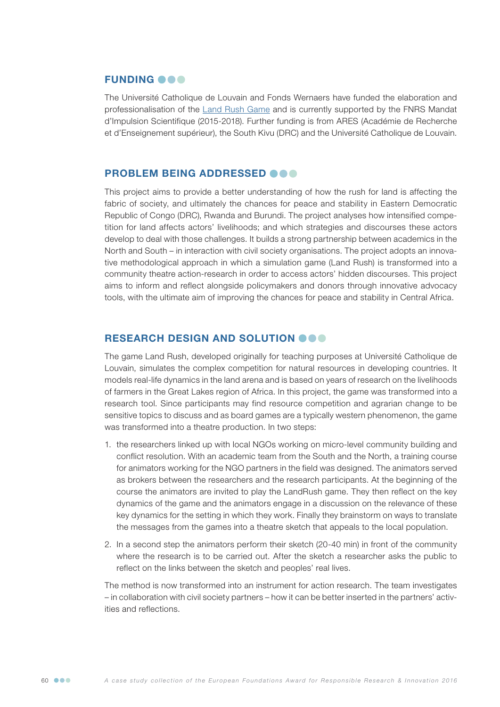## **FUNDING OOO**

The Université Catholique de Louvain and Fonds Wernaers have funded the elaboration and professionalisation of the [Land Rush Game](http://www.land-rush.org) and is currently supported by the FNRS Mandat d'Impulsion Scientifique (2015-2018). Further funding is from ARES (Académie de Recherche et d'Enseignement supérieur), the South Kivu (DRC) and the Université Catholique de Louvain.

## PROBLEM BEING ADDRESSED @@@

This project aims to provide a better understanding of how the rush for land is affecting the fabric of society, and ultimately the chances for peace and stability in Eastern Democratic Republic of Congo (DRC), Rwanda and Burundi. The project analyses how intensified competition for land affects actors' livelihoods; and which strategies and discourses these actors develop to deal with those challenges. It builds a strong partnership between academics in the North and South – in interaction with civil society organisations. The project adopts an innovative methodological approach in which a simulation game (Land Rush) is transformed into a community theatre action-research in order to access actors' hidden discourses. This project aims to inform and reflect alongside policymakers and donors through innovative advocacy tools, with the ultimate aim of improving the chances for peace and stability in Central Africa.

#### RESEARCH DESIGN AND SOLUTION OOO

The game Land Rush, developed originally for teaching purposes at Université Catholique de Louvain, simulates the complex competition for natural resources in developing countries. It models real-life dynamics in the land arena and is based on years of research on the livelihoods of farmers in the Great Lakes region of Africa. In this project, the game was transformed into a research tool. Since participants may find resource competition and agrarian change to be sensitive topics to discuss and as board games are a typically western phenomenon, the game was transformed into a theatre production. In two steps:

- 1. the researchers linked up with local NGOs working on micro-level community building and conflict resolution. With an academic team from the South and the North, a training course for animators working for the NGO partners in the field was designed. The animators served as brokers between the researchers and the research participants. At the beginning of the course the animators are invited to play the LandRush game. They then reflect on the key dynamics of the game and the animators engage in a discussion on the relevance of these key dynamics for the setting in which they work. Finally they brainstorm on ways to translate the messages from the games into a theatre sketch that appeals to the local population.
- 2. In a second step the animators perform their sketch (20-40 min) in front of the community where the research is to be carried out. After the sketch a researcher asks the public to reflect on the links between the sketch and peoples' real lives.

The method is now transformed into an instrument for action research. The team investigates – in collaboration with civil society partners – how it can be better inserted in the partners' activities and reflections.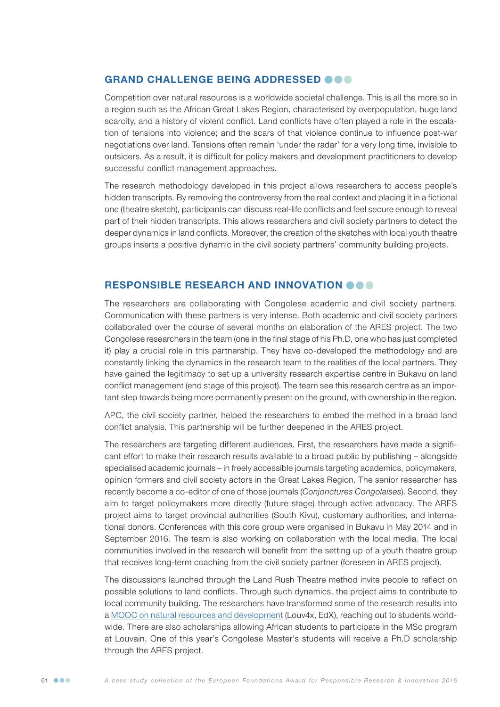# GRAND CHALLENGE BEING ADDRESSED @@@

Competition over natural resources is a worldwide societal challenge. This is all the more so in a region such as the African Great Lakes Region, characterised by overpopulation, huge land scarcity, and a history of violent conflict. Land conflicts have often played a role in the escalation of tensions into violence; and the scars of that violence continue to influence post-war negotiations over land. Tensions often remain 'under the radar' for a very long time, invisible to outsiders. As a result, it is difficult for policy makers and development practitioners to develop successful conflict management approaches.

The research methodology developed in this project allows researchers to access people's hidden transcripts. By removing the controversy from the real context and placing it in a fictional one (theatre sketch), participants can discuss real-life conflicts and feel secure enough to reveal part of their hidden transcripts. This allows researchers and civil society partners to detect the deeper dynamics in land conflicts. Moreover, the creation of the sketches with local youth theatre groups inserts a positive dynamic in the civil society partners' community building projects.

## RESPONSIBLE RESEARCH AND INNOVATION OOO

The researchers are collaborating with Congolese academic and civil society partners. Communication with these partners is very intense. Both academic and civil society partners collaborated over the course of several months on elaboration of the ARES project. The two Congolese researchers in the team (one in the final stage of his Ph.D, one who has just completed it) play a crucial role in this partnership. They have co-developed the methodology and are constantly linking the dynamics in the research team to the realities of the local partners. They have gained the legitimacy to set up a university research expertise centre in Bukavu on land conflict management (end stage of this project). The team see this research centre as an important step towards being more permanently present on the ground, with ownership in the region.

APC, the civil society partner, helped the researchers to embed the method in a broad land conflict analysis. This partnership will be further deepened in the ARES project.

The researchers are targeting different audiences. First, the researchers have made a significant effort to make their research results available to a broad public by publishing – alongside specialised academic journals – in freely accessible journals targeting academics, policymakers, opinion formers and civil society actors in the Great Lakes Region. The senior researcher has recently become a co-editor of one of those journals (*Conjonctures Congolaises*). Second, they aim to target policymakers more directly (future stage) through active advocacy. The ARES project aims to target provincial authorities (South Kivu), customary authorities, and international donors. Conferences with this core group were organised in Bukavu in May 2014 and in September 2016. The team is also working on collaboration with the local media. The local communities involved in the research will benefit from the setting up of a youth theatre group that receives long-term coaching from the civil society partner (foreseen in ARES project).

The discussions launched through the Land Rush Theatre method invite people to reflect on possible solutions to land conflicts. Through such dynamics, the project aims to contribute to local community building. The researchers have transformed some of the research results into a [MOOC on natural resources and development](https://www.edx.org/course/ressources-naturelles-et-developpement-louvainx-louv4x-1) (Louv4x, EdX), reaching out to students worldwide. There are also scholarships allowing African students to participate in the MSc program at Louvain. One of this year's Congolese Master's students will receive a Ph.D scholarship through the ARES project.